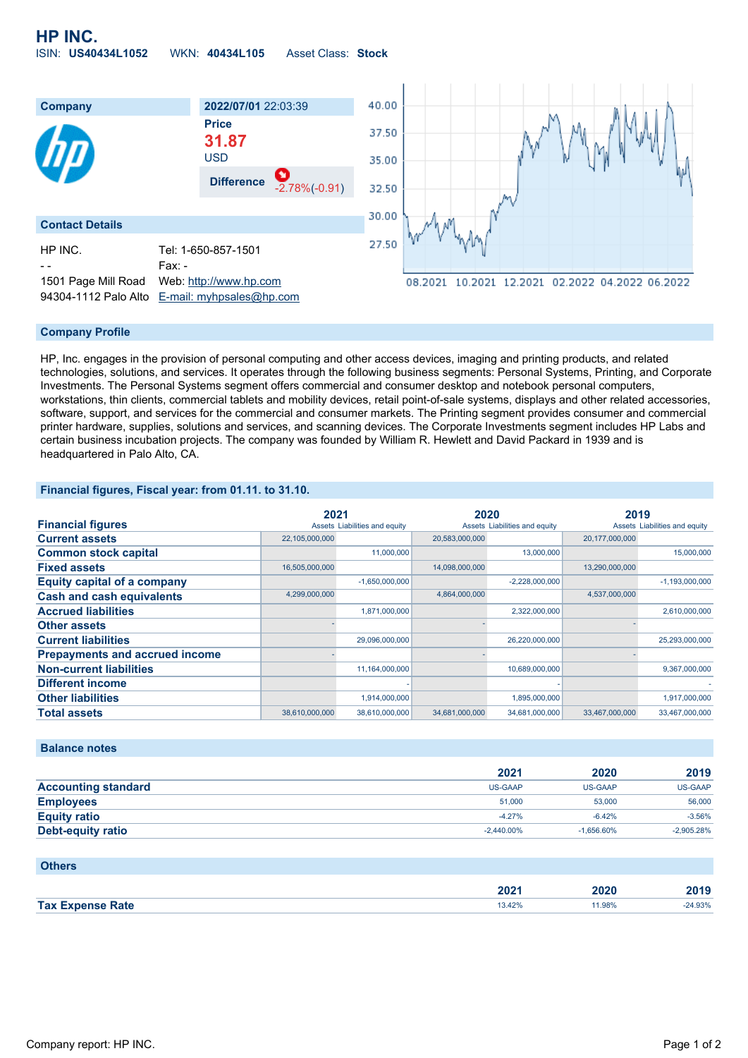**HP INC.** ISIN: **US40434L1052** WKN: **40434L105** Asset Class: **Stock**



# **Company Profile**

HP, Inc. engages in the provision of personal computing and other access devices, imaging and printing products, and related technologies, solutions, and services. It operates through the following business segments: Personal Systems, Printing, and Corporate Investments. The Personal Systems segment offers commercial and consumer desktop and notebook personal computers, workstations, thin clients, commercial tablets and mobility devices, retail point-of-sale systems, displays and other related accessories, software, support, and services for the commercial and consumer markets. The Printing segment provides consumer and commercial printer hardware, supplies, solutions and services, and scanning devices. The Corporate Investments segment includes HP Labs and certain business incubation projects. The company was founded by William R. Hewlett and David Packard in 1939 and is headquartered in Palo Alto, CA.

### **Financial figures, Fiscal year: from 01.11. to 31.10.**

|                                       |                | 2021                          |                | 2020                          |                | 2019                          |  |
|---------------------------------------|----------------|-------------------------------|----------------|-------------------------------|----------------|-------------------------------|--|
| <b>Financial figures</b>              |                | Assets Liabilities and equity |                | Assets Liabilities and equity |                | Assets Liabilities and equity |  |
| <b>Current assets</b>                 | 22,105,000,000 |                               | 20,583,000,000 |                               | 20,177,000,000 |                               |  |
| <b>Common stock capital</b>           |                | 11,000,000                    |                | 13,000,000                    |                | 15,000,000                    |  |
| <b>Fixed assets</b>                   | 16,505,000,000 |                               | 14,098,000,000 |                               | 13,290,000,000 |                               |  |
| <b>Equity capital of a company</b>    |                | $-1,650,000,000$              |                | $-2,228,000,000$              |                | $-1,193,000,000$              |  |
| <b>Cash and cash equivalents</b>      | 4,299,000,000  |                               | 4,864,000,000  |                               | 4,537,000,000  |                               |  |
| <b>Accrued liabilities</b>            |                | 1,871,000,000                 |                | 2,322,000,000                 |                | 2,610,000,000                 |  |
| <b>Other assets</b>                   |                |                               |                |                               |                |                               |  |
| <b>Current liabilities</b>            |                | 29,096,000,000                |                | 26,220,000,000                |                | 25,293,000,000                |  |
| <b>Prepayments and accrued income</b> |                |                               |                |                               |                |                               |  |
| <b>Non-current liabilities</b>        |                | 11,164,000,000                |                | 10,689,000,000                |                | 9,367,000,000                 |  |
| <b>Different income</b>               |                |                               |                |                               |                |                               |  |
| <b>Other liabilities</b>              |                | 1,914,000,000                 |                | 1,895,000,000                 |                | 1,917,000,000                 |  |
| <b>Total assets</b>                   | 38,610,000,000 | 38,610,000,000                | 34,681,000,000 | 34,681,000,000                | 33,467,000,000 | 33,467,000,000                |  |

### **Balance notes**

|                            | 2021           | 2020           | 2019         |
|----------------------------|----------------|----------------|--------------|
| <b>Accounting standard</b> | <b>US-GAAP</b> | <b>US-GAAP</b> | US-GAAP      |
| <b>Employees</b>           | 51,000         | 53,000         | 56,000       |
| <b>Equity ratio</b>        | $-4.27%$       | $-6.42%$       | $-3.56%$     |
| Debt-equity ratio          | $-2.440.00\%$  | $-1.656.60%$   | $-2.905.28%$ |

# **Others**

|            | החה<br>ZUZ | - -   |       |
|------------|------------|-------|-------|
| <b>Tax</b> | $\Delta$   | 1.98% | 0.000 |
|            |            | .     |       |